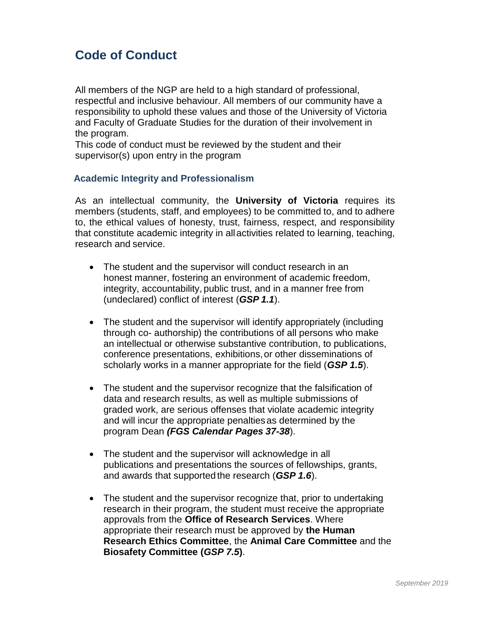# **Code of Conduct**

All members of the NGP are held to a high standard of professional, respectful and inclusive behaviour. All members of our community have a responsibility to uphold these values and those of the University of Victoria and Faculty of Graduate Studies for the duration of their involvement in the program.

This code of conduct must be reviewed by the student and their supervisor(s) upon entry in the program

### **Academic Integrity and Professionalism**

As an intellectual community, the **University of Victoria** requires its members (students, staff, and employees) to be committed to, and to adhere to, the ethical values of honesty, trust, fairness, respect, and responsibility that constitute academic integrity in allactivities related to learning, teaching, research and service.

- The student and the supervisor will conduct research in an honest manner, fostering an environment of academic freedom, integrity, accountability, public trust, and in a manner free from (undeclared) conflict of interest (*GSP 1.1*).
- The student and the supervisor will identify appropriately (including through co- authorship) the contributions of all persons who make an intellectual or otherwise substantive contribution, to publications, conference presentations, exhibitions,or other disseminations of scholarly works in a manner appropriate for the field (*GSP 1.5*).
- The student and the supervisor recognize that the falsification of data and research results, as well as multiple submissions of graded work, are serious offenses that violate academic integrity and will incur the appropriate penaltiesas determined by the program Dean *(FGS Calendar Pages 37-38*).
- The student and the supervisor will acknowledge in all publications and presentations the sources of fellowships, grants, and awards that supported the research (*GSP 1.6*).
- The student and the supervisor recognize that, prior to undertaking research in their program, the student must receive the appropriate approvals from the **Office of Research Services**. Where appropriate their research must be approved by **the Human Research Ethics Committee**, the **Animal Care Committee** and the **Biosafety Committee (***GSP 7.5***)**.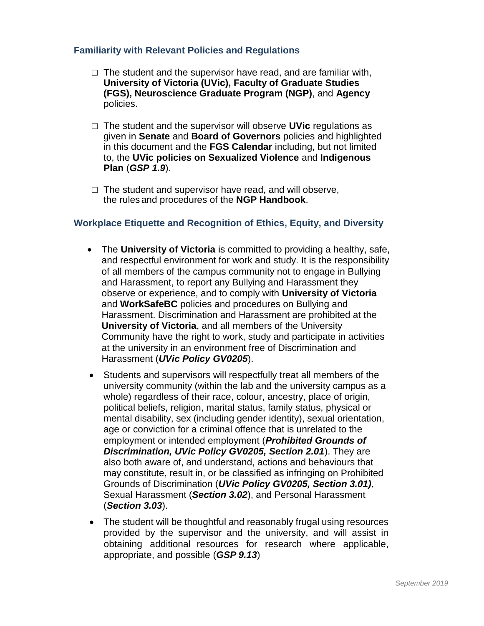#### **Familiarity with Relevant Policies and Regulations**

- $\Box$  The student and the supervisor have read, and are familiar with, **University of Victoria (UVic), Faculty of Graduate Studies (FGS), Neuroscience Graduate Program (NGP)**, and **Agency** policies.
- □ The student and the supervisor will observe **UVic** regulations as given in **Senate** and **Board of Governors** policies and highlighted in this document and the **FGS Calendar** including, but not limited to, the **UVic policies on Sexualized Violence** and **Indigenous Plan** (*GSP 1.9*).
- $\Box$  The student and supervisor have read, and will observe, the rules and procedures of the **NGP Handbook**.

#### **Workplace Etiquette and Recognition of Ethics, Equity, and Diversity**

- The **University of Victoria** is committed to providing a healthy, safe, and respectful environment for work and study. It is the responsibility of all members of the campus community not to engage in Bullying and Harassment, to report any Bullying and Harassment they observe or experience, and to comply with **University of Victoria**  and **WorkSafeBC** policies and procedures on Bullying and Harassment. Discrimination and Harassment are prohibited at the **University of Victoria**, and all members of the University Community have the right to work, study and participate in activities at the university in an environment free of Discrimination and Harassment (*UVic Policy GV0205*).
- Students and supervisors will respectfully treat all members of the university community (within the lab and the university campus as a whole) regardless of their race, colour, ancestry, place of origin, political beliefs, religion, marital status, family status, physical or mental disability, sex (including gender identity), sexual orientation, age or conviction for a criminal offence that is unrelated to the employment or intended employment (*Prohibited Grounds of Discrimination, UVic Policy GV0205, Section 2.01*). They are also both aware of, and understand, actions and behaviours that may constitute, result in, or be classified as infringing on Prohibited Grounds of Discrimination (*UVic Policy GV0205, Section 3.01)*, Sexual Harassment (*Section 3.02*), and Personal Harassment (*Section 3.03*).
- The student will be thoughtful and reasonably frugal using resources provided by the supervisor and the university, and will assist in obtaining additional resources for research where applicable, appropriate, and possible (*GSP 9.13*)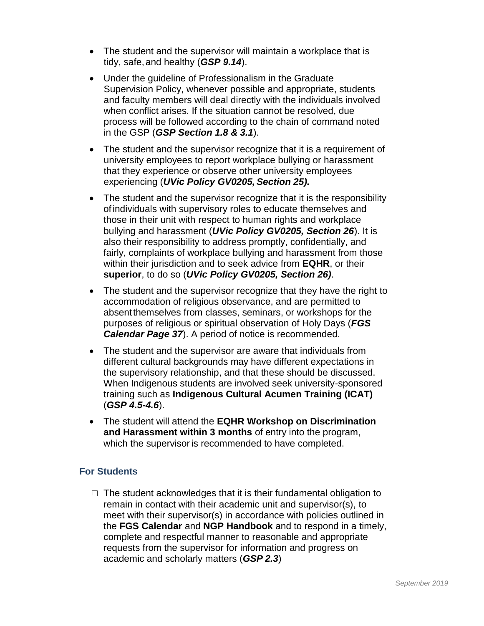- The student and the supervisor will maintain a workplace that is tidy, safe,and healthy (*GSP 9.14*).
- Under the guideline of Professionalism in the Graduate Supervision Policy, whenever possible and appropriate, students and faculty members will deal directly with the individuals involved when conflict arises. If the situation cannot be resolved, due process will be followed according to the chain of command noted in the GSP (*GSP Section 1.8 & 3.1*).
- The student and the supervisor recognize that it is a requirement of university employees to report workplace bullying or harassment that they experience or observe other university employees experiencing (*UVic Policy GV0205, Section 25).*
- The student and the supervisor recognize that it is the responsibility ofindividuals with supervisory roles to educate themselves and those in their unit with respect to human rights and workplace bullying and harassment (*UVic Policy GV0205, Section 26*). It is also their responsibility to address promptly, confidentially, and fairly, complaints of workplace bullying and harassment from those within their jurisdiction and to seek advice from **EQHR**, or their **superior**, to do so (*UVic Policy GV0205, Section 26)*.
- The student and the supervisor recognize that they have the right to accommodation of religious observance, and are permitted to absentthemselves from classes, seminars, or workshops for the purposes of religious or spiritual observation of Holy Days (*FGS Calendar Page 37*). A period of notice is recommended.
- The student and the supervisor are aware that individuals from different cultural backgrounds may have different expectations in the supervisory relationship, and that these should be discussed. When Indigenous students are involved seek university-sponsored training such as **Indigenous Cultural Acumen Training (ICAT)**  (*GSP 4.5-4.6*).
- The student will attend the **EQHR Workshop on Discrimination and Harassment within 3 months** of entry into the program, which the supervisor is recommended to have completed.

## **For Students**

 $\Box$  The student acknowledges that it is their fundamental obligation to remain in contact with their academic unit and supervisor(s), to meet with their supervisor(s) in accordance with policies outlined in the **FGS Calendar** and **NGP Handbook** and to respond in a timely, complete and respectful manner to reasonable and appropriate requests from the supervisor for information and progress on academic and scholarly matters (*GSP 2.3*)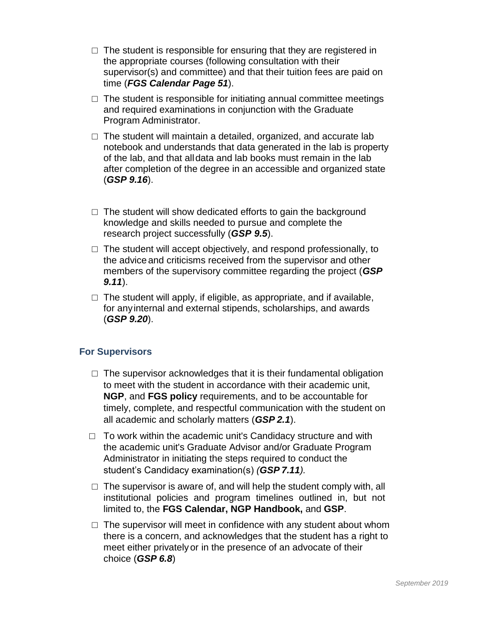- $\Box$  The student is responsible for ensuring that they are registered in the appropriate courses (following consultation with their supervisor(s) and committee) and that their tuition fees are paid on time (*FGS Calendar Page 51*).
- $\Box$  The student is responsible for initiating annual committee meetings and required examinations in conjunction with the Graduate Program Administrator.
- $\Box$  The student will maintain a detailed, organized, and accurate lab notebook and understands that data generated in the lab is property of the lab, and that alldata and lab books must remain in the lab after completion of the degree in an accessible and organized state (*GSP 9.16*).
- $\Box$  The student will show dedicated efforts to gain the background knowledge and skills needed to pursue and complete the research project successfully (*GSP 9.5*).
- $\Box$  The student will accept objectively, and respond professionally, to the advice and criticisms received from the supervisor and other members of the supervisory committee regarding the project (*GSP 9.11*).
- $\Box$  The student will apply, if eligible, as appropriate, and if available, for anyinternal and external stipends, scholarships, and awards (*GSP 9.20*).

## **For Supervisors**

- $\Box$  The supervisor acknowledges that it is their fundamental obligation to meet with the student in accordance with their academic unit, **NGP**, and **FGS policy** requirements, and to be accountable for timely, complete, and respectful communication with the student on all academic and scholarly matters (*GSP 2.1*).
- $\Box$  To work within the academic unit's Candidacy structure and with the academic unit's Graduate Advisor and/or Graduate Program Administrator in initiating the steps required to conduct the student's Candidacy examination(s) *(GSP 7.11).*
- $\Box$  The supervisor is aware of, and will help the student comply with, all institutional policies and program timelines outlined in, but not limited to, the **FGS Calendar, NGP Handbook,** and **GSP**.
- $\Box$  The supervisor will meet in confidence with any student about whom there is a concern, and acknowledges that the student has a right to meet either privatelyor in the presence of an advocate of their choice (*GSP 6.8*)